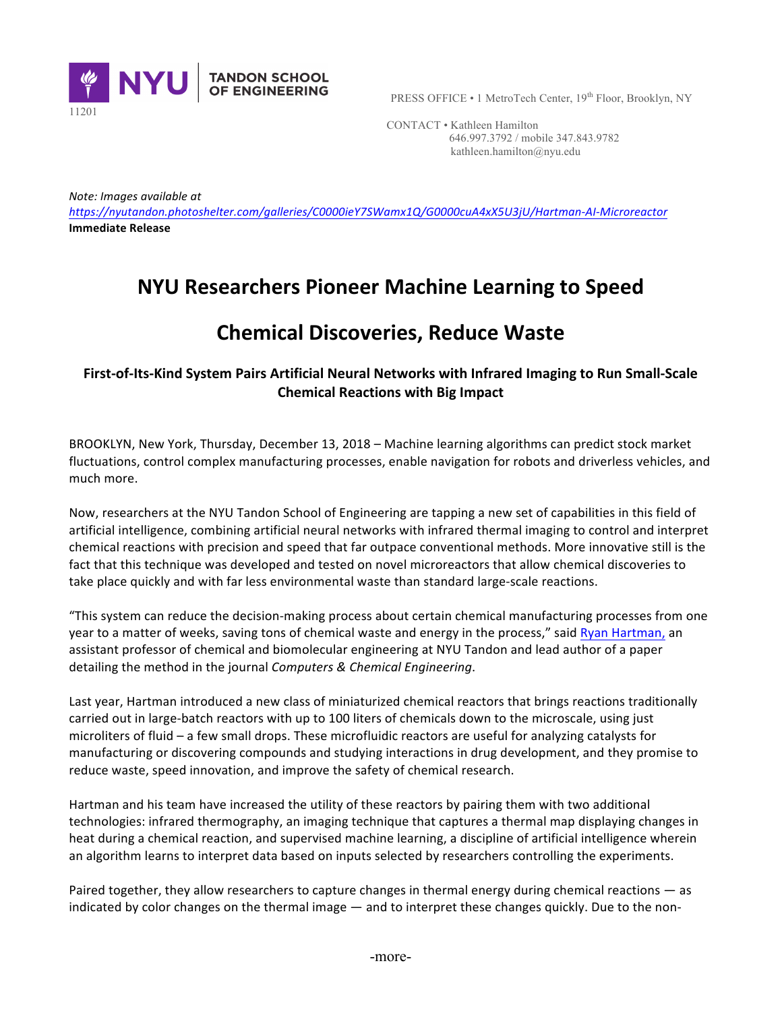

PRESS OFFICE • 1 MetroTech Center, 19<sup>th</sup> Floor, Brooklyn, NY

 CONTACT • Kathleen Hamilton 646.997.3792 / mobile 347.843.9782 kathleen.hamilton@nyu.edu

*Note: Images available at* 

*https://nyutandon.photoshelter.com/galleries/C0000ieY7SWamx1Q/G0000cuA4xX5U3jU/Hartman-AI-Microreactor* **Immediate Release** 

## **NYU Researchers Pioneer Machine Learning to Speed**

## **Chemical Discoveries, Reduce Waste**

## First-of-Its-Kind System Pairs Artificial Neural Networks with Infrared Imaging to Run Small-Scale **Chemical Reactions with Big Impact**

BROOKLYN, New York, Thursday, December 13, 2018 – Machine learning algorithms can predict stock market fluctuations, control complex manufacturing processes, enable navigation for robots and driverless vehicles, and much more.

Now, researchers at the NYU Tandon School of Engineering are tapping a new set of capabilities in this field of artificial intelligence, combining artificial neural networks with infrared thermal imaging to control and interpret chemical reactions with precision and speed that far outpace conventional methods. More innovative still is the fact that this technique was developed and tested on novel microreactors that allow chemical discoveries to take place quickly and with far less environmental waste than standard large-scale reactions.

"This system can reduce the decision-making process about certain chemical manufacturing processes from one year to a matter of weeks, saving tons of chemical waste and energy in the process," said Ryan Hartman, an assistant professor of chemical and biomolecular engineering at NYU Tandon and lead author of a paper detailing the method in the journal *Computers & Chemical Engineering*.

Last year, Hartman introduced a new class of miniaturized chemical reactors that brings reactions traditionally carried out in large-batch reactors with up to 100 liters of chemicals down to the microscale, using just microliters of fluid – a few small drops. These microfluidic reactors are useful for analyzing catalysts for manufacturing or discovering compounds and studying interactions in drug development, and they promise to reduce waste, speed innovation, and improve the safety of chemical research.

Hartman and his team have increased the utility of these reactors by pairing them with two additional technologies: infrared thermography, an imaging technique that captures a thermal map displaying changes in heat during a chemical reaction, and supervised machine learning, a discipline of artificial intelligence wherein an algorithm learns to interpret data based on inputs selected by researchers controlling the experiments.

Paired together, they allow researchers to capture changes in thermal energy during chemical reactions — as indicated by color changes on the thermal image — and to interpret these changes quickly. Due to the non